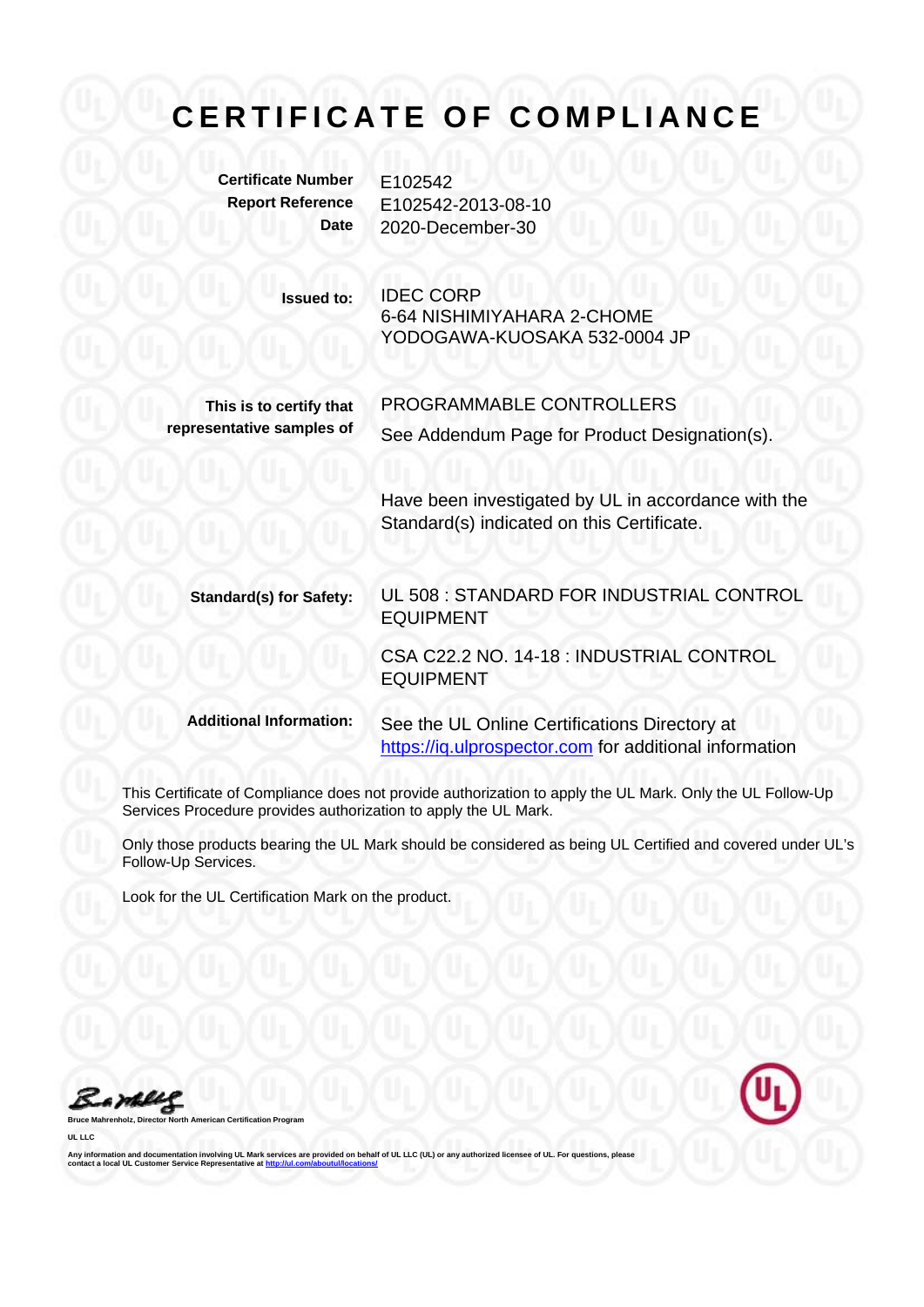**Certificate Number** E102542

**Report Reference** E102542-2013-08-10 **Date** 2020-December-30

> **Issued to:** IDEC CORP 6-64 NISHIMIYAHARA 2-CHOME YODOGAWA-KUOSAKA 532-0004 JP

> > PROGRAMMABLE CONTROLLERS

**This is to certify that representative samples of**

See Addendum Page for Product Designation(s).

Have been investigated by UL in accordance with the Standard(s) indicated on this Certificate.

**Standard(s) for Safety:** UL 508 : STANDARD FOR INDUSTRIAL CONTROL EQUIPMENT

> CSA C22.2 NO. 14-18 : INDUSTRIAL CONTROL EQUIPMENT

**Additional Information:** See the UL Online Certifications Directory at https://iq.ulprospector.com for additional information

This Certificate of Compliance does not provide authorization to apply the UL Mark. Only the UL Follow-Up Services Procedure provides authorization to apply the UL Mark.

Only those products bearing the UL Mark should be considered as being UL Certified and covered under UL's Follow-Up Services.

Look for the UL Certification Mark on the product.



**UL LLC** 



Any information and documentation involving UL Mark services are provided on behalf of UL LLC (UL) or any authorized licensee of UL. For questions, please<br>contact a local UL Customer Service Representative at <u>http://ul.co</u>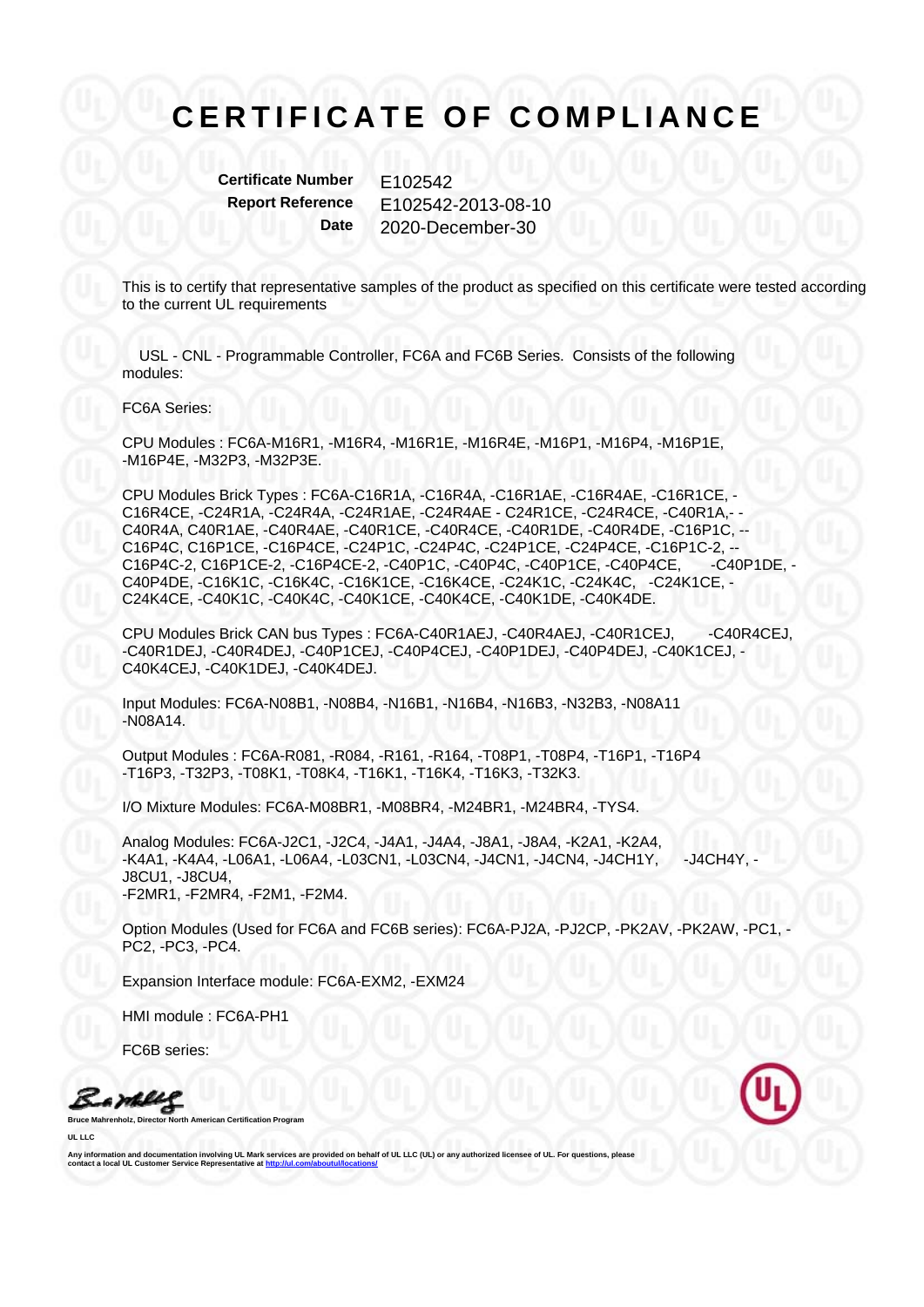**Certificate Number E102542** 

**Report Reference** E102542-2013-08-10 **Date** 2020-December-30

This is to certify that representative samples of the product as specified on this certificate were tested according to the current UL requirements

 USL - CNL - Programmable Controller, FC6A and FC6B Series. Consists of the following modules:

FC6A Series:

CPU Modules : FC6A-M16R1, -M16R4, -M16R1E, -M16R4E, -M16P1, -M16P4, -M16P1E, -M16P4E, -M32P3, -M32P3E.

CPU Modules Brick Types : FC6A-C16R1A, -C16R4A, -C16R1AE, -C16R4AE, -C16R1CE, - C16R4CE, -C24R1A, -C24R4A, -C24R1AE, -C24R4AE - C24R1CE, -C24R4CE, -C40R1A,- - C40R4A, C40R1AE, -C40R4AE, -C40R1CE, -C40R4CE, -C40R1DE, -C40R4DE, -C16P1C, -- C16P4C, C16P1CE, -C16P4CE, -C24P1C, -C24P4C, -C24P1CE, -C24P4CE, -C16P1C-2, -- C16P4C-2, C16P1CE-2, -C16P4CE-2, -C40P1C, -C40P4C, -C40P1CE, -C40P4CE, -C40P1DE, - C40P4DE, -C16K1C, -C16K4C, -C16K1CE, -C16K4CE, -C24K1C, -C24K4C, -C24K1CE, - C24K4CE, -C40K1C, -C40K4C, -C40K1CE, -C40K4CE, -C40K1DE, -C40K4DE.

CPU Modules Brick CAN bus Types : FC6A-C40R1AEJ, -C40R4AEJ, -C40R1CEJ, -C40R4CEJ, -C40R1DEJ, -C40R4DEJ, -C40P1CEJ, -C40P4CEJ, -C40P1DEJ, -C40P4DEJ, -C40K1CEJ, - C40K4CEJ, -C40K1DEJ, -C40K4DEJ.

Input Modules: FC6A-N08B1, -N08B4, -N16B1, -N16B4, -N16B3, -N32B3, -N08A11 -N08A14.

Output Modules : FC6A-R081, -R084, -R161, -R164, -T08P1, -T08P4, -T16P1, -T16P4 -T16P3, -T32P3, -T08K1, -T08K4, -T16K1, -T16K4, -T16K3, -T32K3.

I/O Mixture Modules: FC6A-M08BR1, -M08BR4, -M24BR1, -M24BR4, -TYS4.

Analog Modules: FC6A-J2C1, -J2C4, -J4A1, -J4A4, -J8A1, -J8A4, -K2A1, -K2A4, -K4A1, -K4A4, -L06A1, -L06A4, -L03CN1, -L03CN4, -J4CN1, -J4CN4, -J4CH1Y, -J4CH4Y, - J8CU1, -J8CU4, -F2MR1, -F2MR4, -F2M1, -F2M4.

Option Modules (Used for FC6A and FC6B series): FC6A-PJ2A, -PJ2CP, -PK2AV, -PK2AW, -PC1, - PC2, -PC3, -PC4.

Expansion Interface module: FC6A-EXM2, -EXM24

HMI module : FC6A-PH1

FC6B series:

Bamelle

**Broard** 

**UL LLC** 

Any information and documentation involving UL Mark services are provided on behalf of UL LLC (UL) or any authorized licensee of UL. For questions, please<br>contact a local UL Customer Service Representative at <u>http://ul.co</u>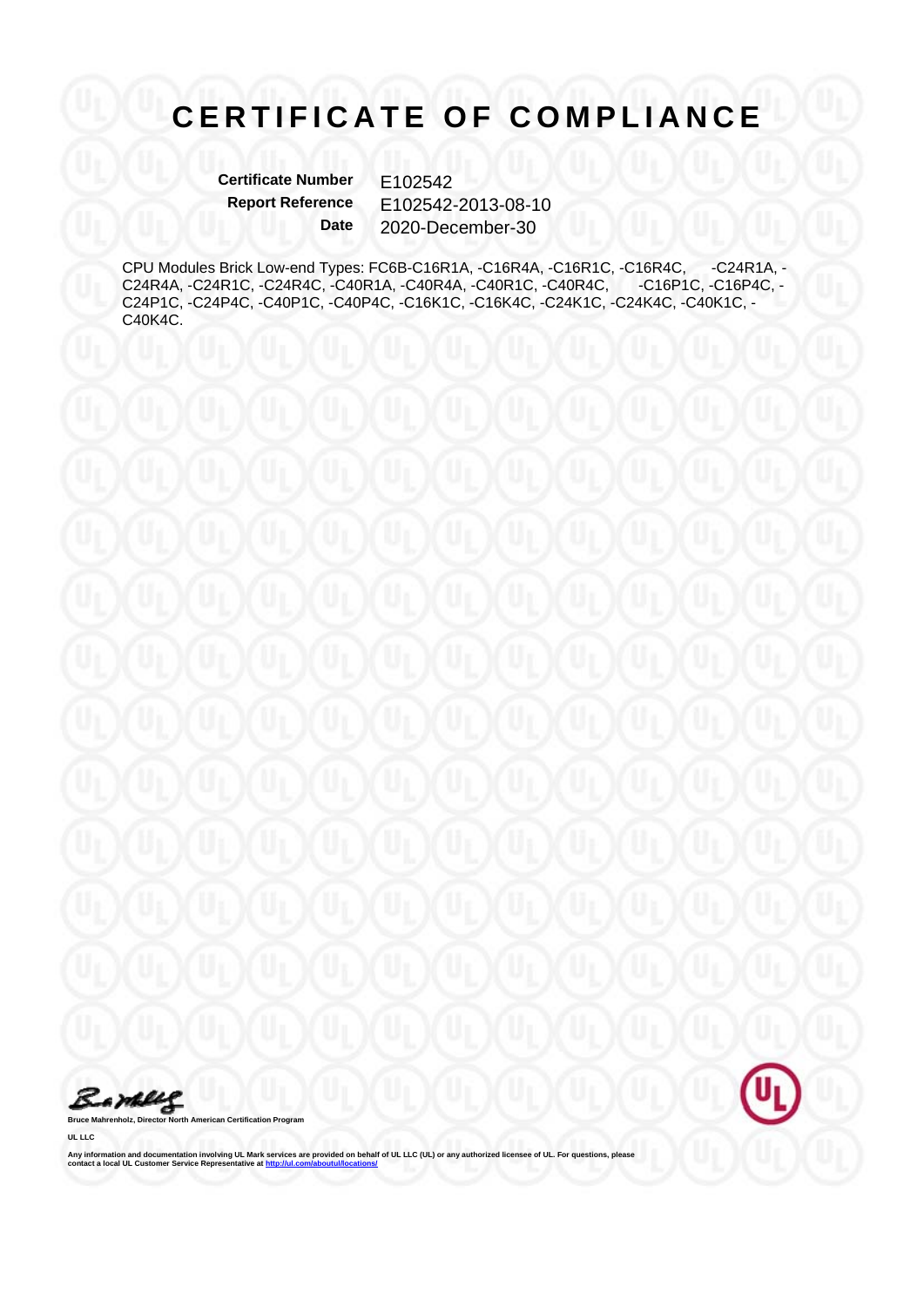**Certificate Number** E102542<br>Report Reference F102542 **Report Reference** E102542-2013-08-10 **Date** 2020-December-30

CPU Modules Brick Low-end Types: FC6B-C16R1A, -C16R4A, -C16R1C, -C16R4C, -C24R1A, -C24R1C, -C24R4C, -C40R1A, -C40R4A, -C40R1C, -C40R4C, -C24R4A, -C24R1C, -C24R4C, -C40R1A, -C40R4A, -C40R1C, -C40R4C, -C16P1C, -C16P4C, - C24P1C, -C24P4C, -C40P1C, -C40P4C, -C16K1C, -C16K4C, -C24K1C, -C24K4C, -C40K1C, - C40K4C.

Barbles

**Bruce Mahrenholz, Director North American Certification Program** 

**UL LLC** 

Any information and documentation involving UL Mark services are provided on behalf of UL LLC (UL) or any authorized licensee of UL. For questions, please<br>contact a local UL Customer Service Representative at <u>http://ul.co</u>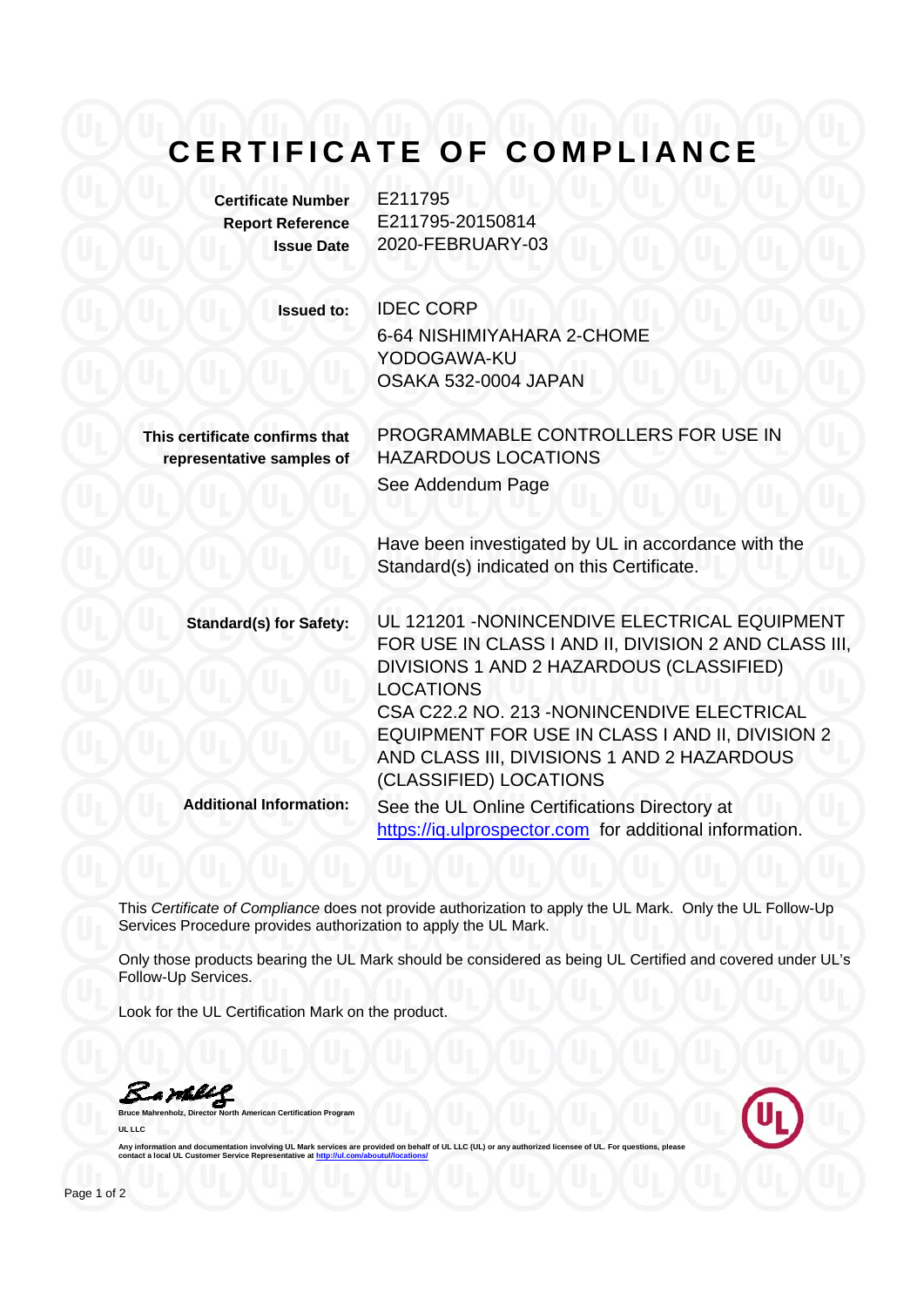**Certificate Number** E211795 **Report Reference** E211795-20150814

**Issue Date** 2020-FEBRUARY-03

**Issued to:** IDEC CORP

6-64 NISHIMIYAHARA 2-CHOME YODOGAWA-KU OSAKA 532-0004 JAPAN

**This certificate confirms that representative samples of** PROGRAMMABLE CONTROLLERS FOR USE IN HAZARDOUS LOCATIONS See Addendum Page

Have been investigated by UL in accordance with the Standard(s) indicated on this Certificate.

**Standard(s) for Safety:** UL 121201 -NONINCENDIVE ELECTRICAL EQUIPMENT FOR USE IN CLASS I AND II, DIVISION 2 AND CLASS III, DIVISIONS 1 AND 2 HAZARDOUS (CLASSIFIED) LOCATIONS CSA C22.2 NO. 213 -NONINCENDIVE ELECTRICAL EQUIPMENT FOR USE IN CLASS I AND II, DIVISION 2 AND CLASS III, DIVISIONS 1 AND 2 HAZARDOUS (CLASSIFIED) LOCATIONS **Additional Information:** See the UL Online Certifications Directory at

https://iq.ulprospector.com for additional information.

This *Certificate of Compliance* does not provide authorization to apply the UL Mark. Only the UL Follow-Up Services Procedure provides authorization to apply the UL Mark.

Only those products bearing the UL Mark should be considered as being UL Certified and covered under UL's Follow-Up Services.

Look for the UL Certification Mark on the product.

**Bruce Mahrenholz, Director North American Certification Program** 

Bambley

**UL LLC** 

Any information and documentation involving UL Mark services are provided on behalf of UL LLC (UL) or a contact a local UL Customer Service Representative at